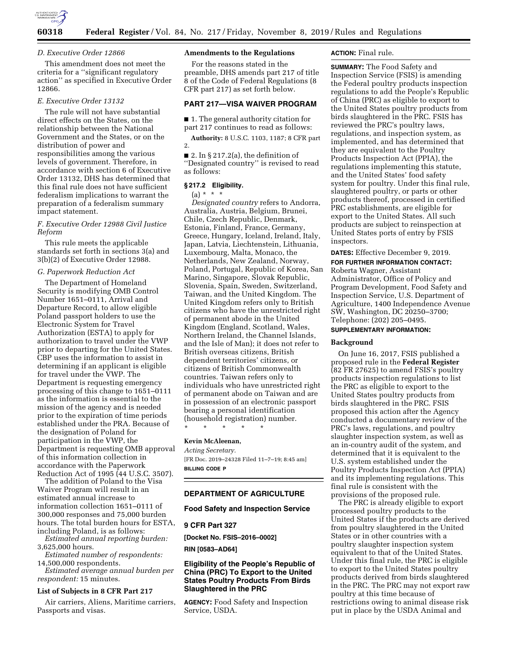

#### *D. Executive Order 12866*

This amendment does not meet the criteria for a ''significant regulatory action'' as specified in Executive Order 12866.

## *E. Executive Order 13132*

The rule will not have substantial direct effects on the States, on the relationship between the National Government and the States, or on the distribution of power and responsibilities among the various levels of government. Therefore, in accordance with section 6 of Executive Order 13132, DHS has determined that this final rule does not have sufficient federalism implications to warrant the preparation of a federalism summary impact statement.

# *F. Executive Order 12988 Civil Justice Reform*

This rule meets the applicable standards set forth in sections 3(a) and 3(b)(2) of Executive Order 12988.

# *G. Paperwork Reduction Act*

The Department of Homeland Security is modifying OMB Control Number 1651–0111, Arrival and Departure Record, to allow eligible Poland passport holders to use the Electronic System for Travel Authorization (ESTA) to apply for authorization to travel under the VWP prior to departing for the United States. CBP uses the information to assist in determining if an applicant is eligible for travel under the VWP. The Department is requesting emergency processing of this change to 1651–0111 as the information is essential to the mission of the agency and is needed prior to the expiration of time periods established under the PRA. Because of the designation of Poland for participation in the VWP, the Department is requesting OMB approval of this information collection in accordance with the Paperwork Reduction Act of 1995 (44 U.S.C. 3507).

The addition of Poland to the Visa Waiver Program will result in an estimated annual increase to information collection 1651–0111 of 300,000 responses and 75,000 burden hours. The total burden hours for ESTA, including Poland, is as follows:

*Estimated annual reporting burden:*  3,625,000 hours.

*Estimated number of respondents:*  14,500,000 respondents.

*Estimated average annual burden per respondent:* 15 minutes.

#### **List of Subjects in 8 CFR Part 217**

Air carriers, Aliens, Maritime carriers, Passports and visas.

# **Amendments to the Regulations**

For the reasons stated in the preamble, DHS amends part 217 of title 8 of the Code of Federal Regulations (8 CFR part 217) as set forth below.

# **PART 217—VISA WAIVER PROGRAM**

■ 1. The general authority citation for part 217 continues to read as follows:

**Authority:** 8 U.S.C. 1103, 1187; 8 CFR part 2.

 $\blacksquare$  2. In § 217.2(a), the definition of ''Designated country'' is revised to read as follows:

## **§ 217.2 Eligibility.**

#### $(a) * * * *$

*Designated country* refers to Andorra, Australia, Austria, Belgium, Brunei, Chile, Czech Republic, Denmark, Estonia, Finland, France, Germany, Greece, Hungary, Iceland, Ireland, Italy, Japan, Latvia, Liechtenstein, Lithuania, Luxembourg, Malta, Monaco, the Netherlands, New Zealand, Norway, Poland, Portugal, Republic of Korea, San Marino, Singapore, Slovak Republic, Slovenia, Spain, Sweden, Switzerland, Taiwan, and the United Kingdom. The United Kingdom refers only to British citizens who have the unrestricted right of permanent abode in the United Kingdom (England, Scotland, Wales, Northern Ireland, the Channel Islands, and the Isle of Man); it does not refer to British overseas citizens, British dependent territories' citizens, or citizens of British Commonwealth countries. Taiwan refers only to individuals who have unrestricted right of permanent abode on Taiwan and are in possession of an electronic passport bearing a personal identification (household registration) number. \* \* \* \* \*

#### **Kevin McAleenan,**

*Acting Secretary.*  [FR Doc. 2019–24328 Filed 11–7–19; 8:45 am] **BILLING CODE P** 

## **DEPARTMENT OF AGRICULTURE**

#### **Food Safety and Inspection Service**

## **9 CFR Part 327**

**[Docket No. FSIS–2016–0002]** 

**RIN [0583–AD64]** 

# **Eligibility of the People's Republic of China (PRC) To Export to the United States Poultry Products From Birds Slaughtered in the PRC**

**AGENCY:** Food Safety and Inspection Service, USDA.

# **ACTION:** Final rule.

**SUMMARY:** The Food Safety and Inspection Service (FSIS) is amending the Federal poultry products inspection regulations to add the People's Republic of China (PRC) as eligible to export to the United States poultry products from birds slaughtered in the PRC. FSIS has reviewed the PRC's poultry laws, regulations, and inspection system, as implemented, and has determined that they are equivalent to the Poultry Products Inspection Act (PPIA), the regulations implementing this statute, and the United States' food safety system for poultry. Under this final rule, slaughtered poultry, or parts or other products thereof, processed in certified PRC establishments, are eligible for export to the United States. All such products are subject to reinspection at United States ports of entry by FSIS inspectors.

## **DATES:** Effective December 9, 2019. **FOR FURTHER INFORMATION CONTACT:**

Roberta Wagner, Assistant Administrator, Office of Policy and Program Development, Food Safety and Inspection Service, U.S. Department of Agriculture, 1400 Independence Avenue SW, Washington, DC 20250–3700; Telephone: (202) 205–0495.

### **SUPPLEMENTARY INFORMATION:**

#### **Background**

On June 16, 2017, FSIS published a proposed rule in the **Federal Register**  (82 FR 27625) to amend FSIS's poultry products inspection regulations to list the PRC as eligible to export to the United States poultry products from birds slaughtered in the PRC. FSIS proposed this action after the Agency conducted a documentary review of the PRC's laws, regulations, and poultry slaughter inspection system, as well as an in-country audit of the system, and determined that it is equivalent to the U.S. system established under the Poultry Products Inspection Act (PPIA) and its implementing regulations. This final rule is consistent with the provisions of the proposed rule.

The PRC is already eligible to export processed poultry products to the United States if the products are derived from poultry slaughtered in the United States or in other countries with a poultry slaughter inspection system equivalent to that of the United States. Under this final rule, the PRC is eligible to export to the United States poultry products derived from birds slaughtered in the PRC. The PRC may not export raw poultry at this time because of restrictions owing to animal disease risk put in place by the USDA Animal and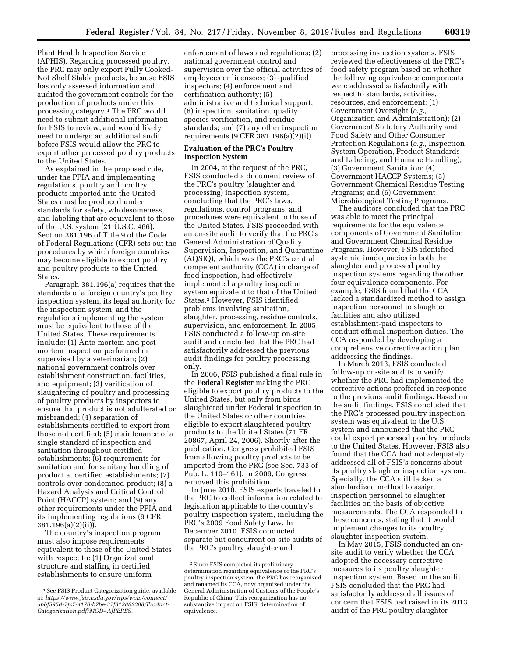Plant Health Inspection Service (APHIS). Regarding processed poultry, the PRC may only export Fully Cooked-Not Shelf Stable products, because FSIS has only assessed information and audited the government controls for the production of products under this processing category.1 The PRC would need to submit additional information for FSIS to review, and would likely need to undergo an additional audit before FSIS would allow the PRC to export other processed poultry products to the United States.

As explained in the proposed rule, under the PPIA and implementing regulations, poultry and poultry products imported into the United States must be produced under standards for safety, wholesomeness, and labeling that are equivalent to those of the U.S. system (21 U.S.C. 466). Section 381.196 of Title 9 of the Code of Federal Regulations (CFR) sets out the procedures by which foreign countries may become eligible to export poultry and poultry products to the United States.

Paragraph 381.196(a) requires that the standards of a foreign country's poultry inspection system, its legal authority for the inspection system, and the regulations implementing the system must be equivalent to those of the United States. These requirements include: (1) Ante-mortem and postmortem inspection performed or supervised by a veterinarian; (2) national government controls over establishment construction, facilities, and equipment; (3) verification of slaughtering of poultry and processing of poultry products by inspectors to ensure that product is not adulterated or misbranded; (4) separation of establishments certified to export from those not certified; (5) maintenance of a single standard of inspection and sanitation throughout certified establishments; (6) requirements for sanitation and for sanitary handling of product at certified establishments; (7) controls over condemned product; (8) a Hazard Analysis and Critical Control Point (HACCP) system; and (9) any other requirements under the PPIA and its implementing regulations (9 CFR 381.196(a)(2)(ii)).

The country's inspection program must also impose requirements equivalent to those of the United States with respect to: (1) Organizational structure and staffing in certified establishments to ensure uniform

enforcement of laws and regulations; (2) national government control and supervision over the official activities of employees or licensees; (3) qualified inspectors; (4) enforcement and certification authority; (5) administrative and technical support; (6) inspection, sanitation, quality, species verification, and residue standards; and (7) any other inspection requirements (9 CFR 381.196(a)(2)(i)).

# **Evaluation of the PRC's Poultry Inspection System**

In 2004, at the request of the PRC, FSIS conducted a document review of the PRC's poultry (slaughter and processing) inspection system, concluding that the PRC's laws, regulations, control programs, and procedures were equivalent to those of the United States. FSIS proceeded with an on-site audit to verify that the PRC's General Administration of Quality Supervision, Inspection, and Quarantine (AQSIQ), which was the PRC's central competent authority (CCA) in charge of food inspection, had effectively implemented a poultry inspection system equivalent to that of the United States.2 However, FSIS identified problems involving sanitation, slaughter, processing, residue controls, supervision, and enforcement. In 2005, FSIS conducted a follow-up on-site audit and concluded that the PRC had satisfactorily addressed the previous audit findings for poultry processing only.

In 2006, FSIS published a final rule in the **Federal Register** making the PRC eligible to export poultry products to the United States, but only from birds slaughtered under Federal inspection in the United States or other countries eligible to export slaughtered poultry products to the United States (71 FR 20867, April 24, 2006). Shortly after the publication, Congress prohibited FSIS from allowing poultry products to be imported from the PRC (see Sec. 733 of Pub. L. 110–161). In 2009, Congress removed this prohibition.

In June 2010, FSIS experts traveled to the PRC to collect information related to legislation applicable to the country's poultry inspection system, including the PRC's 2009 Food Safety Law. In December 2010, FSIS conducted separate but concurrent on-site audits of the PRC's poultry slaughter and

processing inspection systems. FSIS reviewed the effectiveness of the PRC's food safety program based on whether the following equivalence components were addressed satisfactorily with respect to standards, activities, resources, and enforcement: (1) Government Oversight (*e.g.,*  Organization and Administration); (2) Government Statutory Authority and Food Safety and Other Consumer Protection Regulations (*e.g.,* Inspection System Operation, Product Standards and Labeling, and Humane Handling); (3) Government Sanitation; (4) Government HACCP Systems; (5) Government Chemical Residue Testing Programs; and (6) Government Microbiological Testing Programs.

The auditors concluded that the PRC was able to meet the principal requirements for the equivalence components of Government Sanitation and Government Chemical Residue Programs. However, FSIS identified systemic inadequacies in both the slaughter and processed poultry inspection systems regarding the other four equivalence components. For example, FSIS found that the CCA lacked a standardized method to assign inspection personnel to slaughter facilities and also utilized establishment-paid inspectors to conduct official inspection duties. The CCA responded by developing a comprehensive corrective action plan addressing the findings.

In March 2013, FSIS conducted follow-up on-site audits to verify whether the PRC had implemented the corrective actions proffered in response to the previous audit findings. Based on the audit findings, FSIS concluded that the PRC's processed poultry inspection system was equivalent to the U.S. system and announced that the PRC could export processed poultry products to the United States. However, FSIS also found that the CCA had not adequately addressed all of FSIS's concerns about its poultry slaughter inspection system. Specially, the CCA still lacked a standardized method to assign inspection personnel to slaughter facilities on the basis of objective measurements. The CCA responded to these concerns, stating that it would implement changes to its poultry slaughter inspection system.

In May 2015, FSIS conducted an onsite audit to verify whether the CCA adopted the necessary corrective measures to its poultry slaughter inspection system. Based on the audit, FSIS concluded that the PRC had satisfactorily addressed all issues of concern that FSIS had raised in its 2013 audit of the PRC poultry slaughter

<sup>1</sup>See FSIS Product Categorization guide, available at: *[https://www.fsis.usda.gov/wps/wcm/connect/](https://www.fsis.usda.gov/wps/wcm/connect/abbf595d-7fc7-4170-b7be-37f812882388/Product-Categorization.pdf?MOD=AJPERES) [abbf595d-7fc7-4170-b7be-37f812882388/Product-](https://www.fsis.usda.gov/wps/wcm/connect/abbf595d-7fc7-4170-b7be-37f812882388/Product-Categorization.pdf?MOD=AJPERES)[Categorization.pdf?MOD=AJPERES.](https://www.fsis.usda.gov/wps/wcm/connect/abbf595d-7fc7-4170-b7be-37f812882388/Product-Categorization.pdf?MOD=AJPERES)* 

<sup>2</sup>Since FSIS completed its preliminary determination regarding equivalence of the PRC's poultry inspection system, the PRC has reorganized and renamed its CCA, now organized under the General Administration of Customs of the People's Republic of China. This reorganization has no substantive impact on FSIS' determination of equivalence.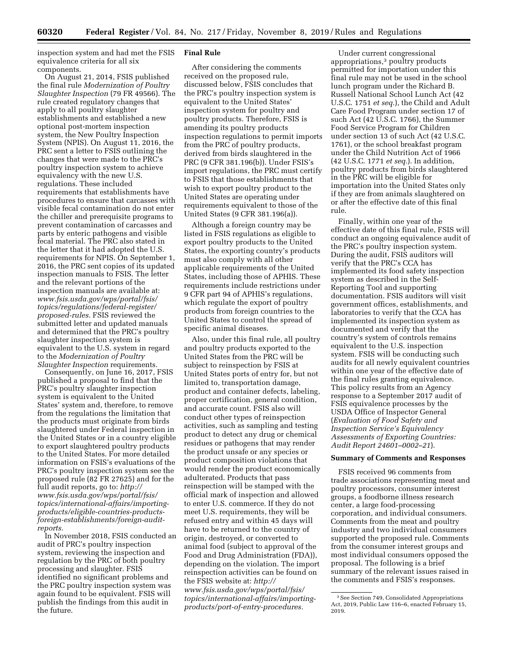inspection system and had met the FSIS equivalence criteria for all six components.

On August 21, 2014, FSIS published the final rule *Modernization of Poultry Slaughter Inspection* (79 FR 49566). The rule created regulatory changes that apply to all poultry slaughter establishments and established a new optional post-mortem inspection system, the New Poultry Inspection System (NPIS). On August 11, 2016, the PRC sent a letter to FSIS outlining the changes that were made to the PRC's poultry inspection system to achieve equivalency with the new U.S. regulations. These included requirements that establishments have procedures to ensure that carcasses with visible fecal contamination do not enter the chiller and prerequisite programs to prevent contamination of carcasses and parts by enteric pathogens and visible fecal material. The PRC also stated in the letter that it had adopted the U.S. requirements for NPIS. On September 1, 2016, the PRC sent copies of its updated inspection manuals to FSIS. The letter and the relevant portions of the inspection manuals are available at: *[www.fsis.usda.gov/wps/portal/fsis/](http://www.fsis.usda.gov/wps/portal/fsis/topics/regulations/federal-register/proposed-rules)  [topics/regulations/federal-register/](http://www.fsis.usda.gov/wps/portal/fsis/topics/regulations/federal-register/proposed-rules)  [proposed-rules.](http://www.fsis.usda.gov/wps/portal/fsis/topics/regulations/federal-register/proposed-rules)* FSIS reviewed the submitted letter and updated manuals and determined that the PRC's poultry slaughter inspection system is equivalent to the U.S. system in regard to the *Modernization of Poultry Slaughter Inspection* requirements.

Consequently, on June 16, 2017, FSIS published a proposal to find that the PRC's poultry slaughter inspection system is equivalent to the United States' system and, therefore, to remove from the regulations the limitation that the products must originate from birds slaughtered under Federal inspection in the United States or in a country eligible to export slaughtered poultry products to the United States. For more detailed information on FSIS's evaluations of the PRC's poultry inspection system see the proposed rule (82 FR 27625) and for the full audit reports, go to: *[http://](http://www.fsis.usda.gov/wps/portal/fsis/topics/international-affairs/importing-products/eligible-countries-products-foreign-establishments/foreign-audit-reports) [www.fsis.usda.gov/wps/portal/fsis/](http://www.fsis.usda.gov/wps/portal/fsis/topics/international-affairs/importing-products/eligible-countries-products-foreign-establishments/foreign-audit-reports)  [topics/international-affairs/importing](http://www.fsis.usda.gov/wps/portal/fsis/topics/international-affairs/importing-products/eligible-countries-products-foreign-establishments/foreign-audit-reports)[products/eligible-countries-products](http://www.fsis.usda.gov/wps/portal/fsis/topics/international-affairs/importing-products/eligible-countries-products-foreign-establishments/foreign-audit-reports)[foreign-establishments/foreign-audit](http://www.fsis.usda.gov/wps/portal/fsis/topics/international-affairs/importing-products/eligible-countries-products-foreign-establishments/foreign-audit-reports)[reports.](http://www.fsis.usda.gov/wps/portal/fsis/topics/international-affairs/importing-products/eligible-countries-products-foreign-establishments/foreign-audit-reports)* 

In November 2018, FSIS conducted an audit of PRC's poultry inspection system, reviewing the inspection and regulation by the PRC of both poultry processing and slaughter. FSIS identified no significant problems and the PRC poultry inspection system was again found to be equivalent. FSIS will publish the findings from this audit in the future.

## **Final Rule**

After considering the comments received on the proposed rule, discussed below, FSIS concludes that the PRC's poultry inspection system is equivalent to the United States' inspection system for poultry and poultry products. Therefore, FSIS is amending its poultry products inspection regulations to permit imports from the PRC of poultry products, derived from birds slaughtered in the PRC (9 CFR 381.196(b)). Under FSIS's import regulations, the PRC must certify to FSIS that those establishments that wish to export poultry product to the United States are operating under requirements equivalent to those of the United States (9 CFR 381.196(a)).

Although a foreign country may be listed in FSIS regulations as eligible to export poultry products to the United States, the exporting country's products must also comply with all other applicable requirements of the United States, including those of APHIS. These requirements include restrictions under 9 CFR part 94 of APHIS's regulations, which regulate the export of poultry products from foreign countries to the United States to control the spread of specific animal diseases.

Also, under this final rule, all poultry and poultry products exported to the United States from the PRC will be subject to reinspection by FSIS at United States ports of entry for, but not limited to, transportation damage, product and container defects, labeling, proper certification, general condition, and accurate count. FSIS also will conduct other types of reinspection activities, such as sampling and testing product to detect any drug or chemical residues or pathogens that may render the product unsafe or any species or product composition violations that would render the product economically adulterated. Products that pass reinspection will be stamped with the official mark of inspection and allowed to enter U.S. commerce. If they do not meet U.S. requirements, they will be refused entry and within 45 days will have to be returned to the country of origin, destroyed, or converted to animal food (subject to approval of the Food and Drug Administration (FDA)), depending on the violation. The import reinspection activities can be found on the FSIS website at: *[http://](http://www.fsis.usda.gov/wps/portal/fsis/topics/international-affairs/importing-products/port-of-entry-procedures) [www.fsis.usda.gov/wps/portal/fsis/](http://www.fsis.usda.gov/wps/portal/fsis/topics/international-affairs/importing-products/port-of-entry-procedures)  [topics/international-affairs/importing](http://www.fsis.usda.gov/wps/portal/fsis/topics/international-affairs/importing-products/port-of-entry-procedures)[products/port-of-entry-procedures.](http://www.fsis.usda.gov/wps/portal/fsis/topics/international-affairs/importing-products/port-of-entry-procedures)* 

Under current congressional appropriations,3 poultry products permitted for importation under this final rule may not be used in the school lunch program under the Richard B. Russell National School Lunch Act (42 U.S.C. 1751 *et seq.*), the Child and Adult Care Food Program under section 17 of such Act (42 U.S.C. 1766), the Summer Food Service Program for Children under section 13 of such Act (42 U.S.C. 1761), or the school breakfast program under the Child Nutrition Act of 1966 (42 U.S.C. 1771 *et seq.*). In addition, poultry products from birds slaughtered in the PRC will be eligible for importation into the United States only if they are from animals slaughtered on or after the effective date of this final rule.

Finally, within one year of the effective date of this final rule, FSIS will conduct an ongoing equivalence audit of the PRC's poultry inspection system. During the audit, FSIS auditors will verify that the PRC's CCA has implemented its food safety inspection system as described in the Self-Reporting Tool and supporting documentation. FSIS auditors will visit government offices, establishments, and laboratories to verify that the CCA has implemented its inspection system as documented and verify that the country's system of controls remains equivalent to the U.S. inspection system. FSIS will be conducting such audits for all newly equivalent countries within one year of the effective date of the final rules granting equivalence. This policy results from an Agency response to a September 2017 audit of FSIS equivalence processes by the USDA Office of Inspector General (*Evaluation of Food Safety and Inspection Service's Equivalency Assessments of Exporting Countries: Audit Report 24601–0002–21*).

## **Summary of Comments and Responses**

FSIS received 96 comments from trade associations representing meat and poultry processors, consumer interest groups, a foodborne illness research center, a large food-processing corporation, and individual consumers. Comments from the meat and poultry industry and two individual consumers supported the proposed rule. Comments from the consumer interest groups and most individual consumers opposed the proposal. The following is a brief summary of the relevant issues raised in the comments and FSIS's responses.

<sup>3</sup>See Section 749, Consolidated Appropriations Act, 2019, Public Law 116–6, enacted February 15, 2019.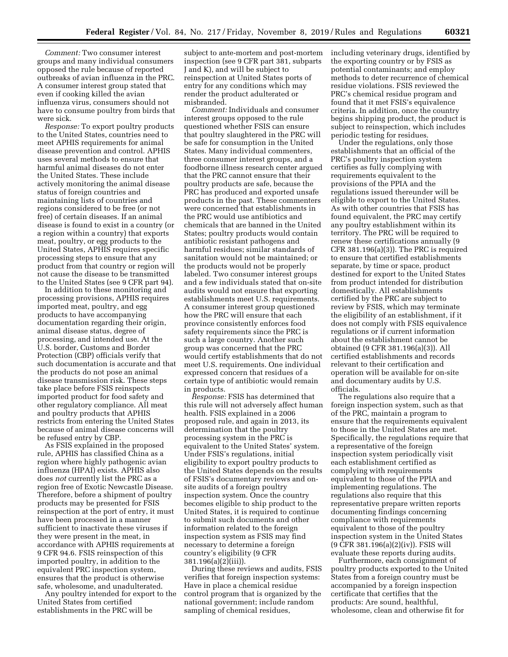*Comment:* Two consumer interest groups and many individual consumers opposed the rule because of reported outbreaks of avian influenza in the PRC. A consumer interest group stated that even if cooking killed the avian influenza virus, consumers should not have to consume poultry from birds that were sick.

*Response:* To export poultry products to the United States, countries need to meet APHIS requirements for animal disease prevention and control. APHIS uses several methods to ensure that harmful animal diseases do not enter the United States. These include actively monitoring the animal disease status of foreign countries and maintaining lists of countries and regions considered to be free (or not free) of certain diseases. If an animal disease is found to exist in a country (or a region within a country) that exports meat, poultry, or egg products to the United States, APHIS requires specific processing steps to ensure that any product from that country or region will not cause the disease to be transmitted to the United States (see 9 CFR part 94).

In addition to these monitoring and processing provisions, APHIS requires imported meat, poultry, and egg products to have accompanying documentation regarding their origin, animal disease status, degree of processing, and intended use. At the U.S. border, Customs and Border Protection (CBP) officials verify that such documentation is accurate and that the products do not pose an animal disease transmission risk. These steps take place before FSIS reinspects imported product for food safety and other regulatory compliance. All meat and poultry products that APHIS restricts from entering the United States because of animal disease concerns will be refused entry by CBP.

As FSIS explained in the proposed rule, APHIS has classified China as a region where highly pathogenic avian influenza (HPAI) exists. APHIS also does *not* currently list the PRC as a region free of Exotic Newcastle Disease. Therefore, before a shipment of poultry products may be presented for FSIS reinspection at the port of entry, it must have been processed in a manner sufficient to inactivate these viruses if they were present in the meat, in accordance with APHIS requirements at 9 CFR 94.6. FSIS reinspection of this imported poultry, in addition to the equivalent PRC inspection system, ensures that the product is otherwise safe, wholesome, and unadulterated.

Any poultry intended for export to the United States from certified establishments in the PRC will be

subject to ante-mortem and post-mortem inspection (see 9 CFR part 381, subparts J and K), and will be subject to reinspection at United States ports of entry for any conditions which may render the product adulterated or misbranded.

*Comment:* Individuals and consumer interest groups opposed to the rule questioned whether FSIS can ensure that poultry slaughtered in the PRC will be safe for consumption in the United States. Many individual commenters, three consumer interest groups, and a foodborne illness research center argued that the PRC cannot ensure that their poultry products are safe, because the PRC has produced and exported unsafe products in the past. These commenters were concerned that establishments in the PRC would use antibiotics and chemicals that are banned in the United States; poultry products would contain antibiotic resistant pathogens and harmful residues; similar standards of sanitation would not be maintained; or the products would not be properly labeled. Two consumer interest groups and a few individuals stated that on-site audits would not ensure that exporting establishments meet U.S. requirements. A consumer interest group questioned how the PRC will ensure that each province consistently enforces food safety requirements since the PRC is such a large country. Another such group was concerned that the PRC would certify establishments that do not meet U.S. requirements. One individual expressed concern that residues of a certain type of antibiotic would remain in products.

*Response:* FSIS has determined that this rule will not adversely affect human health. FSIS explained in a 2006 proposed rule, and again in 2013, its determination that the poultry processing system in the PRC is equivalent to the United States' system. Under FSIS's regulations, initial eligibility to export poultry products to the United States depends on the results of FSIS's documentary reviews and onsite audits of a foreign poultry inspection system. Once the country becomes eligible to ship product to the United States, it is required to continue to submit such documents and other information related to the foreign inspection system as FSIS may find necessary to determine a foreign country's eligibility (9 CFR 381.196(a)(2)(iii)).

During these reviews and audits, FSIS verifies that foreign inspection systems: Have in place a chemical residue control program that is organized by the national government; include random sampling of chemical residues,

including veterinary drugs, identified by the exporting country or by FSIS as potential contaminants; and employ methods to deter recurrence of chemical residue violations. FSIS reviewed the PRC's chemical residue program and found that it met FSIS's equivalence criteria. In addition, once the country begins shipping product, the product is subject to reinspection, which includes periodic testing for residues.

Under the regulations, only those establishments that an official of the PRC's poultry inspection system certifies as fully complying with requirements equivalent to the provisions of the PPIA and the regulations issued thereunder will be eligible to export to the United States. As with other countries that FSIS has found equivalent, the PRC may certify any poultry establishment within its territory. The PRC will be required to renew these certifications annually (9 CFR 381.196(a)(3)). The PRC is required to ensure that certified establishments separate, by time or space, product destined for export to the United States from product intended for distribution domestically. All establishments certified by the PRC are subject to review by FSIS, which may terminate the eligibility of an establishment, if it does not comply with FSIS equivalence regulations or if current information about the establishment cannot be obtained (9 CFR 381.196(a)(3)). All certified establishments and records relevant to their certification and operation will be available for on-site and documentary audits by U.S. officials.

The regulations also require that a foreign inspection system, such as that of the PRC, maintain a program to ensure that the requirements equivalent to those in the United States are met. Specifically, the regulations require that a representative of the foreign inspection system periodically visit each establishment certified as complying with requirements equivalent to those of the PPIA and implementing regulations. The regulations also require that this representative prepare written reports documenting findings concerning compliance with requirements equivalent to those of the poultry inspection system in the United States (9 CFR 381.196(a)(2)(iv)). FSIS will evaluate these reports during audits.

Furthermore, each consignment of poultry products exported to the United States from a foreign country must be accompanied by a foreign inspection certificate that certifies that the products: Are sound, healthful, wholesome, clean and otherwise fit for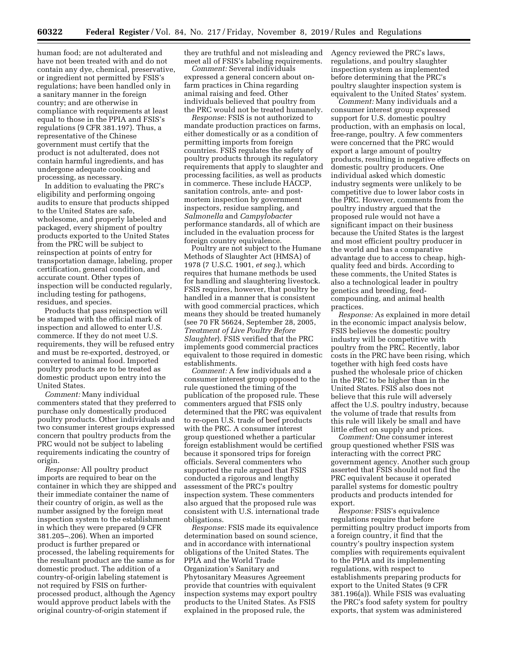human food; are not adulterated and have not been treated with and do not contain any dye, chemical, preservative, or ingredient not permitted by FSIS's regulations; have been handled only in a sanitary manner in the foreign country; and are otherwise in compliance with requirements at least equal to those in the PPIA and FSIS's regulations (9 CFR 381.197). Thus, a representative of the Chinese government must certify that the product is not adulterated, does not contain harmful ingredients, and has undergone adequate cooking and processing, as necessary.

In addition to evaluating the PRC's eligibility and performing ongoing audits to ensure that products shipped to the United States are safe, wholesome, and properly labeled and packaged, every shipment of poultry products exported to the United States from the PRC will be subject to reinspection at points of entry for transportation damage, labeling, proper certification, general condition, and accurate count. Other types of inspection will be conducted regularly, including testing for pathogens, residues, and species.

Products that pass reinspection will be stamped with the official mark of inspection and allowed to enter U.S. commerce. If they do not meet U.S. requirements, they will be refused entry and must be re-exported, destroyed, or converted to animal food. Imported poultry products are to be treated as domestic product upon entry into the United States.

*Comment:* Many individual commenters stated that they preferred to purchase only domestically produced poultry products. Other individuals and two consumer interest groups expressed concern that poultry products from the PRC would not be subject to labeling requirements indicating the country of origin.

*Response:* All poultry product imports are required to bear on the container in which they are shipped and their immediate container the name of their country of origin, as well as the number assigned by the foreign meat inspection system to the establishment in which they were prepared (9 CFR 381.205–.206). When an imported product is further prepared or processed, the labeling requirements for the resultant product are the same as for domestic product. The addition of a country-of-origin labeling statement is not required by FSIS on furtherprocessed product, although the Agency would approve product labels with the original country-of-origin statement if

they are truthful and not misleading and meet all of FSIS's labeling requirements.

*Comment:* Several individuals expressed a general concern about onfarm practices in China regarding animal raising and feed. Other individuals believed that poultry from the PRC would not be treated humanely.

*Response:* FSIS is not authorized to mandate production practices on farms, either domestically or as a condition of permitting imports from foreign countries. FSIS regulates the safety of poultry products through its regulatory requirements that apply to slaughter and processing facilities, as well as products in commerce. These include HACCP, sanitation controls, ante- and postmortem inspection by government inspectors, residue sampling, and *Salmonella* and *Campylobacter*  performance standards, all of which are included in the evaluation process for foreign country equivalence.

Poultry are not subject to the Humane Methods of Slaughter Act (HMSA) of 1978 (7 U.S.C. 1901, *et seq.*), which requires that humane methods be used for handling and slaughtering livestock. FSIS requires, however, that poultry be handled in a manner that is consistent with good commercial practices, which means they should be treated humanely (see 70 FR 56624, September 28, 2005, *Treatment of Live Poultry Before Slaughter*). FSIS verified that the PRC implements good commercial practices equivalent to those required in domestic establishments.

*Comment:* A few individuals and a consumer interest group opposed to the rule questioned the timing of the publication of the proposed rule. These commenters argued that FSIS only determined that the PRC was equivalent to re-open U.S. trade of beef products with the PRC. A consumer interest group questioned whether a particular foreign establishment would be certified because it sponsored trips for foreign officials. Several commenters who supported the rule argued that FSIS conducted a rigorous and lengthy assessment of the PRC's poultry inspection system. These commenters also argued that the proposed rule was consistent with U.S. international trade obligations.

*Response:* FSIS made its equivalence determination based on sound science, and in accordance with international obligations of the United States. The PPIA and the World Trade Organization's Sanitary and Phytosanitary Measures Agreement provide that countries with equivalent inspection systems may export poultry products to the United States. As FSIS explained in the proposed rule, the

Agency reviewed the PRC's laws, regulations, and poultry slaughter inspection system as implemented before determining that the PRC's poultry slaughter inspection system is equivalent to the United States' system.

*Comment:* Many individuals and a consumer interest group expressed support for U.S. domestic poultry production, with an emphasis on local, free-range, poultry. A few commenters were concerned that the PRC would export a large amount of poultry products, resulting in negative effects on domestic poultry producers. One individual asked which domestic industry segments were unlikely to be competitive due to lower labor costs in the PRC. However, comments from the poultry industry argued that the proposed rule would not have a significant impact on their business because the United States is the largest and most efficient poultry producer in the world and has a comparative advantage due to access to cheap, highquality feed and birds. According to these comments, the United States is also a technological leader in poultry genetics and breeding, feedcompounding, and animal health practices.

*Response:* As explained in more detail in the economic impact analysis below, FSIS believes the domestic poultry industry will be competitive with poultry from the PRC. Recently, labor costs in the PRC have been rising, which together with high feed costs have pushed the wholesale price of chicken in the PRC to be higher than in the United States. FSIS also does not believe that this rule will adversely affect the U.S. poultry industry, because the volume of trade that results from this rule will likely be small and have little effect on supply and prices.

*Comment:* One consumer interest group questioned whether FSIS was interacting with the correct PRC government agency. Another such group asserted that FSIS should not find the PRC equivalent because it operated parallel systems for domestic poultry products and products intended for export.

*Response:* FSIS's equivalence regulations require that before permitting poultry product imports from a foreign country, it find that the country's poultry inspection system complies with requirements equivalent to the PPIA and its implementing regulations, with respect to establishments preparing products for export to the United States (9 CFR 381.196(a)). While FSIS was evaluating the PRC's food safety system for poultry exports, that system was administered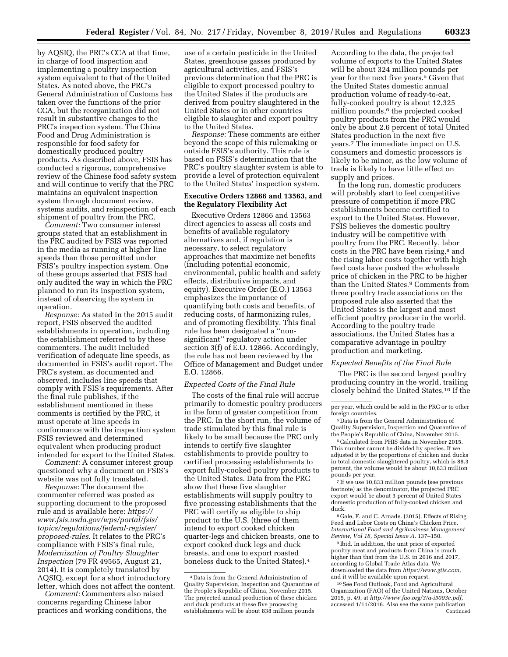by AQSIQ, the PRC's CCA at that time, in charge of food inspection and implementing a poultry inspection system equivalent to that of the United States. As noted above, the PRC's General Administration of Customs has taken over the functions of the prior CCA, but the reorganization did not result in substantive changes to the PRC's inspection system. The China Food and Drug Administration is responsible for food safety for domestically produced poultry products. As described above, FSIS has conducted a rigorous, comprehensive review of the Chinese food safety system and will continue to verify that the PRC maintains an equivalent inspection system through document review, systems audits, and reinspection of each shipment of poultry from the PRC.

*Comment:* Two consumer interest groups stated that an establishment in the PRC audited by FSIS was reported in the media as running at higher line speeds than those permitted under FSIS's poultry inspection system. One of these groups asserted that FSIS had only audited the way in which the PRC planned to run its inspection system, instead of observing the system in operation.

*Response:* As stated in the 2015 audit report, FSIS observed the audited establishments in operation, including the establishment referred to by these commenters. The audit included verification of adequate line speeds, as documented in FSIS's audit report. The PRC's system, as documented and observed, includes line speeds that comply with FSIS's requirements. After the final rule publishes, if the establishment mentioned in these comments is certified by the PRC, it must operate at line speeds in conformance with the inspection system FSIS reviewed and determined equivalent when producing product intended for export to the United States.

*Comment:* A consumer interest group questioned why a document on FSIS's website was not fully translated.

*Response:* The document the commenter referred was posted as supporting document to the proposed rule and is available here: *[https://](https://www.fsis.usda.gov/wps/portal/fsis/topics/regulations/federal-register/proposed-rules) [www.fsis.usda.gov/wps/portal/fsis/](https://www.fsis.usda.gov/wps/portal/fsis/topics/regulations/federal-register/proposed-rules)  [topics/regulations/federal-register/](https://www.fsis.usda.gov/wps/portal/fsis/topics/regulations/federal-register/proposed-rules)  [proposed-rules.](https://www.fsis.usda.gov/wps/portal/fsis/topics/regulations/federal-register/proposed-rules)* It relates to the PRC's compliance with FSIS's final rule, *Modernization of Poultry Slaughter Inspection* (79 FR 49565, August 21, 2014). It is completely translated by AQSIQ, except for a short introductory letter, which does not affect the content.

*Comment:* Commenters also raised concerns regarding Chinese labor practices and working conditions, the use of a certain pesticide in the United States, greenhouse gasses produced by agricultural activities, and FSIS's previous determination that the PRC is eligible to export processed poultry to the United States if the products are derived from poultry slaughtered in the United States or in other countries eligible to slaughter and export poultry to the United States.

*Response:* These comments are either beyond the scope of this rulemaking or outside FSIS's authority. This rule is based on FSIS's determination that the PRC's poultry slaughter system is able to provide a level of protection equivalent to the United States' inspection system.

## **Executive Orders 12866 and 13563, and the Regulatory Flexibility Act**

Executive Orders 12866 and 13563 direct agencies to assess all costs and benefits of available regulatory alternatives and, if regulation is necessary, to select regulatory approaches that maximize net benefits (including potential economic, environmental, public health and safety effects, distributive impacts, and equity). Executive Order (E.O.) 13563 emphasizes the importance of quantifying both costs and benefits, of reducing costs, of harmonizing rules, and of promoting flexibility. This final rule has been designated a ''nonsignificant'' regulatory action under section 3(f) of E.O. 12866. Accordingly, the rule has not been reviewed by the Office of Management and Budget under E.O. 12866.

#### *Expected Costs of the Final Rule*

The costs of the final rule will accrue primarily to domestic poultry producers in the form of greater competition from the PRC. In the short run, the volume of trade stimulated by this final rule is likely to be small because the PRC only intends to certify five slaughter establishments to provide poultry to certified processing establishments to export fully-cooked poultry products to the United States. Data from the PRC show that these five slaughter establishments will supply poultry to five processing establishments that the PRC will certify as eligible to ship product to the U.S. (three of them intend to export cooked chicken quarter-legs and chicken breasts, one to export cooked duck legs and duck breasts, and one to export roasted boneless duck to the United States).4

According to the data, the projected volume of exports to the United States will be about 324 million pounds per year for the next five years.5 Given that the United States domestic annual production volume of ready-to-eat, fully-cooked poultry is about 12,325 million pounds,<sup>6</sup> the projected cooked poultry products from the PRC would only be about 2.6 percent of total United States production in the next five years.7 The immediate impact on U.S. consumers and domestic processors is likely to be minor, as the low volume of trade is likely to have little effect on supply and prices.

In the long run, domestic producers will probably start to feel competitive pressure of competition if more PRC establishments become certified to export to the United States. However, FSIS believes the domestic poultry industry will be competitive with poultry from the PRC. Recently, labor costs in the PRC have been rising,<sup>8</sup> and the rising labor costs together with high feed costs have pushed the wholesale price of chicken in the PRC to be higher than the United States.9 Comments from three poultry trade associations on the proposed rule also asserted that the United States is the largest and most efficient poultry producer in the world. According to the poultry trade associations, the United States has a comparative advantage in poultry production and marketing.

### *Expected Benefits of the Final Rule*

The PRC is the second largest poultry producing country in the world, trailing closely behind the United States.10 If the

5 Data is from the General Administration of Quality Supervision, Inspection and Quarantine of the People's Republic of China, November 2015.

6Calculated from PHIS data in November 2015. This number cannot be divided by species. If we adjusted it by the proportions of chicken and ducks in total domestic slaughtered poultry, which is 88.3 percent, the volume would be about 10,833 million pounds per year.

<sup>7</sup> If we use 10,833 million pounds (see previous footnote) as the denominator, the projected PRC export would be about 3 percent of United States domestic production of fully-cooked chicken and duck.

8 Gale, F. and C. Arnade. (2015). Effects of Rising Feed and Labor Costs on China's Chicken Price. *International Food and Agribusiness Management Review, Vol 18, Special Issue A.* 137–150.

9 Ibid. In addition, the unit price of exported poultry meat and products from China is much higher than that from the U.S. in 2016 and 2017, according to Global Trade Atlas data. We downloaded the data from *[https://www.gtis.com,](https://www.gtis.com)*  and it will be available upon request.

10See Food Outlook, Food and Agricultural Organization (FAO) of the United Nations, October 2015, p. 49, at *[http://www.fao.org/3/a-i5003e.pdf,](http://www.fao.org/3/a-i5003e.pdf)*  accessed 1/11/2016. Also see the same publication Continued

<sup>4</sup> Data is from the General Administration of Quality Supervision, Inspection and Quarantine of the People's Republic of China, November 2015. The projected annual production of these chicken and duck products at these five processing establishments will be about 838 million pounds

per year, which could be sold in the PRC or to other foreign countries.